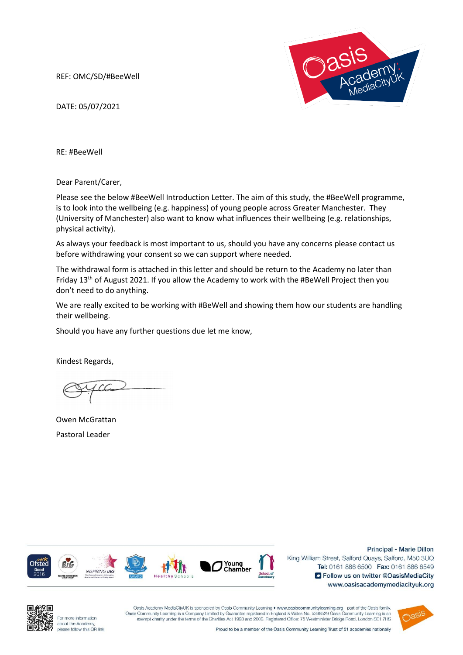REF: OMC/SD/#BeeWell



DATE: 05/07/2021

RE: #BeeWell

Dear Parent/Carer,

Please see the below #BeeWell Introduction Letter. The aim of this study, the #BeeWell programme, is to look into the wellbeing (e.g. happiness) of young people across Greater Manchester. They (University of Manchester) also want to know what influences their wellbeing (e.g. relationships, physical activity).

As always your feedback is most important to us, should you have any concerns please contact us before withdrawing your consent so we can support where needed.

The withdrawal form is attached in this letter and should be return to the Academy no later than Friday 13<sup>th</sup> of August 2021. If you allow the Academy to work with the #BeWell Project then you don't need to do anything.

We are really excited to be working with #BeWell and showing them how our students are handling their wellbeing.

Should you have any further questions due let me know,

Kindest Regards,

Owen McGrattan Pastoral Leader



Principal - Marie Dillon

King William Street, Salford Quays, Salford, M50 3UQ Tel: 0161 886 6500 Fax: 0161 886 6549 S Follow us on twitter @OasisMediaCity www.oasisacademymediacityuk.org



For more information about the Academy please follow this QR link

Oasis Academy MediaCityUK is sponsored by Oasis Community Learning . www.oasiscommunitylearning.org - part of the Oasis family Oasis Community Learning is a Company Limited by Guarantee registered in England & Wales No. 5398529 Oasis Community Learning is an exempt charity under the terms of the Charities Act 1993 and 2006. Registered Office: 75 W

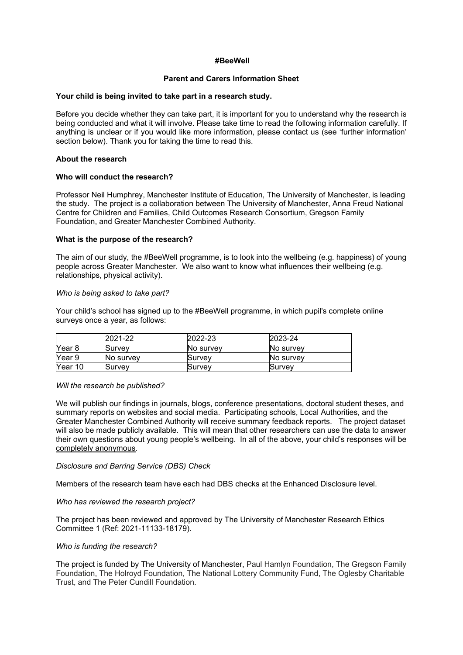# **#BeeWell**

## **Parent and Carers Information Sheet**

#### **Your child is being invited to take part in a research study.**

Before you decide whether they can take part, it is important for you to understand why the research is being conducted and what it will involve. Please take time to read the following information carefully. If anything is unclear or if you would like more information, please contact us (see 'further information' section below). Thank you for taking the time to read this.

#### **About the research**

#### **Who will conduct the research?**

Professor Neil Humphrey, Manchester Institute of Education, The University of Manchester, is leading the study. The project is a collaboration between The University of Manchester, Anna Freud National Centre for Children and Families, Child Outcomes Research Consortium, Gregson Family Foundation, and Greater Manchester Combined Authority.

#### **What is the purpose of the research?**

The aim of our study, the #BeeWell programme, is to look into the wellbeing (e.g. happiness) of young people across Greater Manchester. We also want to know what influences their wellbeing (e.g. relationships, physical activity).

#### *Who is being asked to take part?*

Your child's school has signed up to the #BeeWell programme, in which pupil's complete online surveys once a year, as follows:

|         | 2021-22   | 2022-23   | 2023-24          |
|---------|-----------|-----------|------------------|
| Year 8  | Survev    | No survey | <b>No survev</b> |
| Year 9  | No survev | Survev    | <b>No survev</b> |
| Year 10 | Survev    | lSurvev   | lSurvev          |

#### *Will the research be published?*

We will publish our findings in journals, blogs, conference presentations, doctoral student theses, and summary reports on websites and social media. Participating schools, Local Authorities, and the Greater Manchester Combined Authority will receive summary feedback reports. The project dataset will also be made publicly available. This will mean that other researchers can use the data to answer their own questions about young people's wellbeing. In all of the above, your child's responses will be completely anonymous.

#### *Disclosure and Barring Service (DBS) Check*

Members of the research team have each had DBS checks at the Enhanced Disclosure level.

#### *Who has reviewed the research project?*

The project has been reviewed and approved by The University of Manchester Research Ethics Committee 1 (Ref: 2021-11133-18179).

#### *Who is funding the research?*

The project is funded by The University of Manchester, Paul Hamlyn Foundation, The Gregson Family Foundation, The Holroyd Foundation, The National Lottery Community Fund, The Oglesby Charitable Trust, and The Peter Cundill Foundation.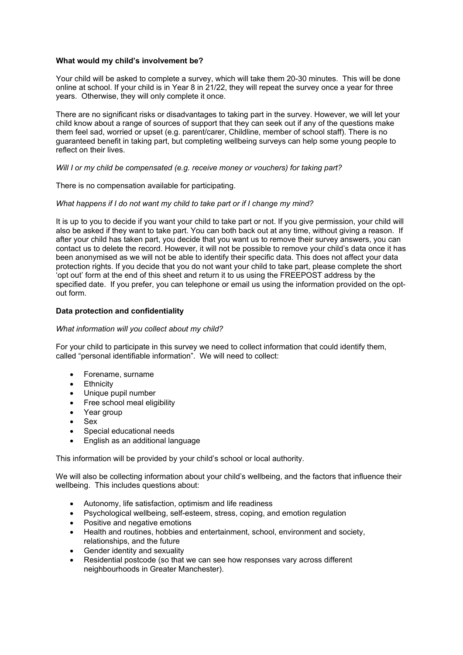# **What would my child's involvement be?**

Your child will be asked to complete a survey, which will take them 20-30 minutes. This will be done online at school. If your child is in Year 8 in 21/22, they will repeat the survey once a year for three years. Otherwise, they will only complete it once.

There are no significant risks or disadvantages to taking part in the survey. However, we will let your child know about a range of sources of support that they can seek out if any of the questions make them feel sad, worried or upset (e.g. parent/carer, Childline, member of school staff). There is no guaranteed benefit in taking part, but completing wellbeing surveys can help some young people to reflect on their lives.

#### *Will I or my child be compensated (e.g. receive money or vouchers) for taking part?*

There is no compensation available for participating.

#### *What happens if I do not want my child to take part or if I change my mind?*

It is up to you to decide if you want your child to take part or not. If you give permission, your child will also be asked if they want to take part. You can both back out at any time, without giving a reason. If after your child has taken part, you decide that you want us to remove their survey answers, you can contact us to delete the record. However, it will not be possible to remove your child's data once it has been anonymised as we will not be able to identify their specific data. This does not affect your data protection rights. If you decide that you do not want your child to take part, please complete the short 'opt out' form at the end of this sheet and return it to us using the FREEPOST address by the specified date. If you prefer, you can telephone or email us using the information provided on the optout form.

# **Data protection and confidentiality**

#### *What information will you collect about my child?*

For your child to participate in this survey we need to collect information that could identify them, called "personal identifiable information". We will need to collect:

- Forename, surname
- **Ethnicity**
- Unique pupil number
- Free school meal eligibility
- Year group
- Sex
- Special educational needs
- English as an additional language

This information will be provided by your child's school or local authority.

We will also be collecting information about your child's wellbeing, and the factors that influence their wellbeing. This includes questions about:

- Autonomy, life satisfaction, optimism and life readiness
- Psychological wellbeing, self-esteem, stress, coping, and emotion regulation
- Positive and negative emotions
- Health and routines, hobbies and entertainment, school, environment and society, relationships, and the future
- Gender identity and sexuality
- Residential postcode (so that we can see how responses vary across different neighbourhoods in Greater Manchester).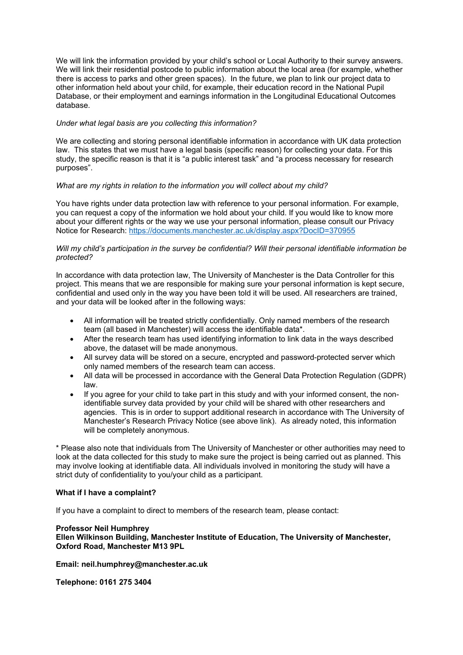We will link the information provided by your child's school or Local Authority to their survey answers. We will link their residential postcode to public information about the local area (for example, whether there is access to parks and other green spaces). In the future, we plan to link our project data to other information held about your child, for example, their education record in the National Pupil Database, or their employment and earnings information in the Longitudinal Educational Outcomes database.

# *Under what legal basis are you collecting this information?*

We are collecting and storing personal identifiable information in accordance with UK data protection law. This states that we must have a legal basis (specific reason) for collecting your data. For this study, the specific reason is that it is "a public interest task" and "a process necessary for research purposes".

# *What are my rights in relation to the information you will collect about my child?*

You have rights under data protection law with reference to your personal information. For example, you can request a copy of the information we hold about your child. If you would like to know more about your different rights or the way we use your personal information, please consult our Privacy Notice for Research:<https://documents.manchester.ac.uk/display.aspx?DocID=370955>

## *Will my child's participation in the survey be confidential? Will their personal identifiable information be protected?*

In accordance with data protection law, The University of Manchester is the Data Controller for this project. This means that we are responsible for making sure your personal information is kept secure, confidential and used only in the way you have been told it will be used. All researchers are trained, and your data will be looked after in the following ways:

- All information will be treated strictly confidentially. Only named members of the research team (all based in Manchester) will access the identifiable data\*.
- After the research team has used identifying information to link data in the ways described above, the dataset will be made anonymous.
- All survey data will be stored on a secure, encrypted and password-protected server which only named members of the research team can access.
- All data will be processed in accordance with the General Data Protection Regulation (GDPR) law.
- If you agree for your child to take part in this study and with your informed consent, the nonidentifiable survey data provided by your child will be shared with other researchers and agencies. This is in order to support additional research in accordance with The University of Manchester's Research Privacy Notice (see above link). As already noted, this information will be completely anonymous.

\* Please also note that individuals from The University of Manchester or other authorities may need to look at the data collected for this study to make sure the project is being carried out as planned. This may involve looking at identifiable data. All individuals involved in monitoring the study will have a strict duty of confidentiality to you/your child as a participant.

#### **What if I have a complaint?**

If you have a complaint to direct to members of the research team, please contact:

#### **Professor Neil Humphrey**

**Ellen Wilkinson Building, Manchester Institute of Education, The University of Manchester, Oxford Road, Manchester M13 9PL**

**Email: [neil.humphrey@manchester.ac.uk](mailto:Neil.humphrey@manchester.ac.uk)**

**Telephone: 0161 275 3404**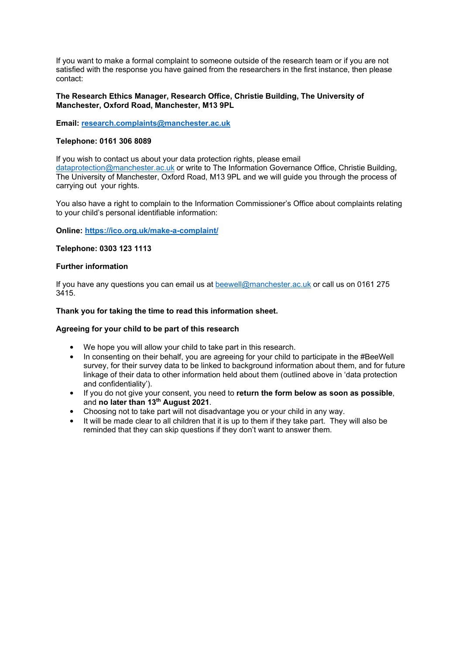If you want to make a formal complaint to someone outside of the research team or if you are not satisfied with the response you have gained from the researchers in the first instance, then please contact:

## **The Research Ethics Manager, Research Office, Christie Building, The University of Manchester, Oxford Road, Manchester, M13 9PL**

**Email: [research.complaints@manchester.ac.uk](mailto:research.complaints@manchester.ac.uk)**

# **Telephone: 0161 306 8089**

If you wish to contact us about your data protection rights, please email [dataprotection@manchester.ac.uk](mailto:dataprotection@manchester.ac.uk) or write to The Information Governance Office, Christie Building, The University of Manchester, Oxford Road, M13 9PL and we will guide you through the process of carrying out your rights.

You also have a right to complain to the Information Commissioner's Office about complaints relating to your child's personal identifiable information:

**Online:<https://ico.org.uk/make-a-complaint/>**

#### **Telephone: 0303 123 1113**

# **Further information**

If you have any questions you can email us at [beewell@manchester.ac.uk](mailto:beewell@manchester.ac.uk) or call us on 0161 275 3415.

# **Thank you for taking the time to read this information sheet.**

## **Agreeing for your child to be part of this research**

- We hope you will allow your child to take part in this research.
- In consenting on their behalf, you are agreeing for your child to participate in the #BeeWell survey, for their survey data to be linked to background information about them, and for future linkage of their data to other information held about them (outlined above in 'data protection and confidentiality').
- If you do not give your consent, you need to **return the form below as soon as possible**, and **no later than 13th August 2021**.
- Choosing not to take part will not disadvantage you or your child in any way.
- It will be made clear to all children that it is up to them if they take part. They will also be reminded that they can skip questions if they don't want to answer them.